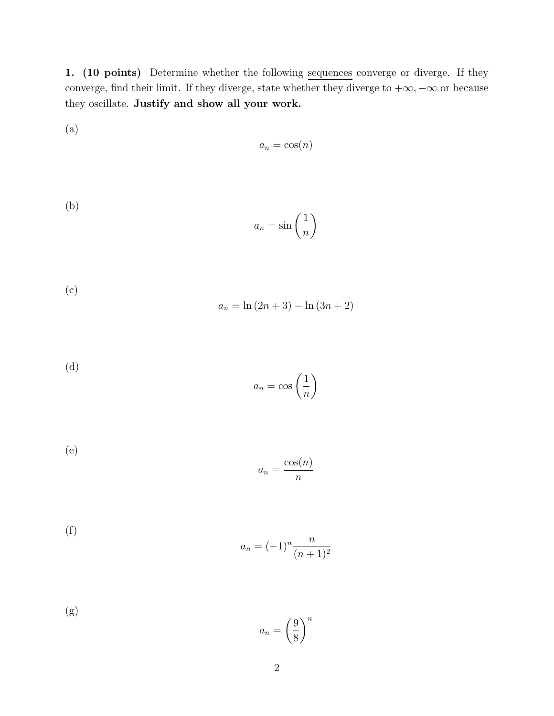1. (10 points) Determine whether the following sequences converge or diverge. If they converge, find their limit. If they diverge, state whether they diverge to  $+\infty, -\infty$  or because they oscillate. Justify and show all your work.

(a) 
$$
a_n = \cos(n)
$$

(b) 
$$
a_n = \sin\left(\frac{1}{n}\right)
$$

(c) 
$$
a_n = \ln(2n+3) - \ln(3n+2)
$$

(d) 
$$
a_n = \cos\left(\frac{1}{n}\right)
$$

(e) 
$$
a_n = \frac{\cos(n)}{n}
$$

(f) 
$$
a_n = (-1)^n \frac{n}{(n+1)^2}
$$

(g) 
$$
a_n = \left(\frac{9}{8}\right)^n
$$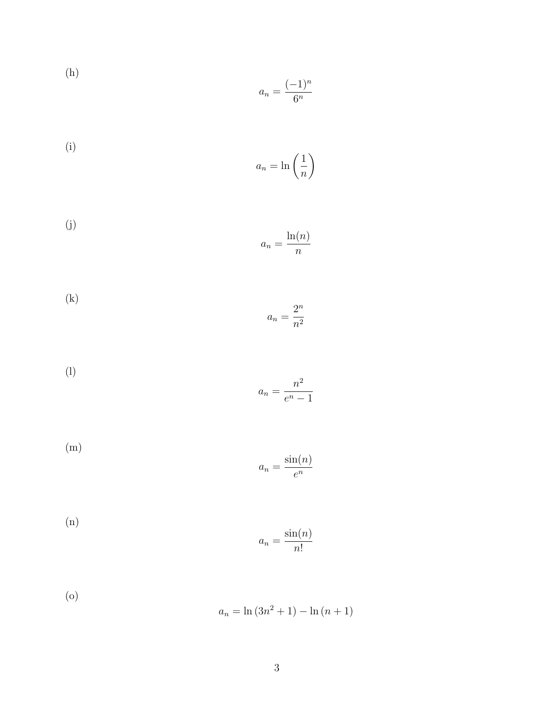(h) 
$$
a_n = \frac{(-1)^n}{6^n}
$$

(i) 
$$
a_n = \ln\left(\frac{1}{n}\right)
$$

(j) 
$$
a_n = \frac{\ln(n)}{n}
$$

(k) 
$$
a_n = \frac{2^n}{n^2}
$$

$$
(l) \t\t\t a_n = \frac{n^2}{e^n - 1}
$$

(m) 
$$
a_n = \frac{\sin(n)}{e^n}
$$

(n) 
$$
a_n = \frac{\sin(n)}{n!}
$$

(o) 
$$
a_n = \ln(3n^2 + 1) - \ln(n + 1)
$$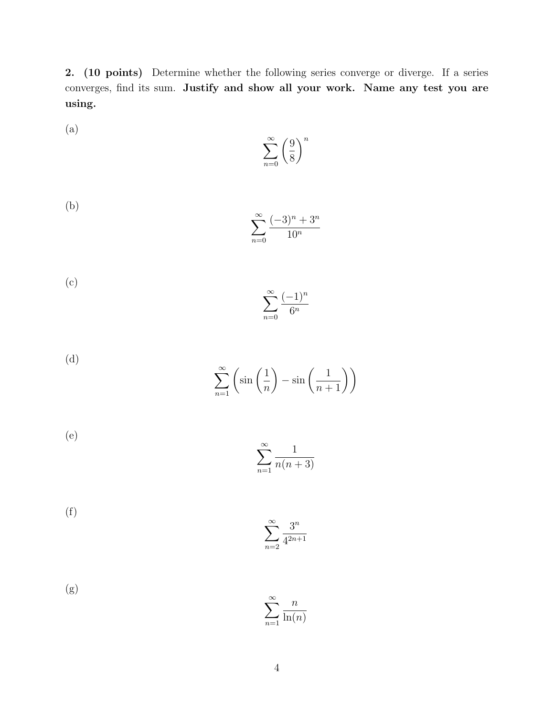2. (10 points) Determine whether the following series converge or diverge. If a series converges, find its sum. Justify and show all your work. Name any test you are using.

$$
\sum_{n=0}^{\infty} \left(\frac{9}{8}\right)^n
$$

(a)

(b) 
$$
\sum_{n=0}^{\infty} \frac{(-3)^n + 3^n}{10^n}
$$

(c) 
$$
\sum_{n=0}^{\infty} \frac{(-1)^n}{6^n}
$$

(d) 
$$
\sum_{n=1}^{\infty} \left( \sin \left( \frac{1}{n} \right) - \sin \left( \frac{1}{n+1} \right) \right)
$$

(e) 
$$
\sum_{n=1}^{\infty} \frac{1}{n(n+3)}
$$

(f) 
$$
\sum_{n=2}^{\infty} \frac{3^n}{4^{2n+1}}
$$

(g) 
$$
\sum_{n=1}^{\infty} \frac{n}{\ln(n)}
$$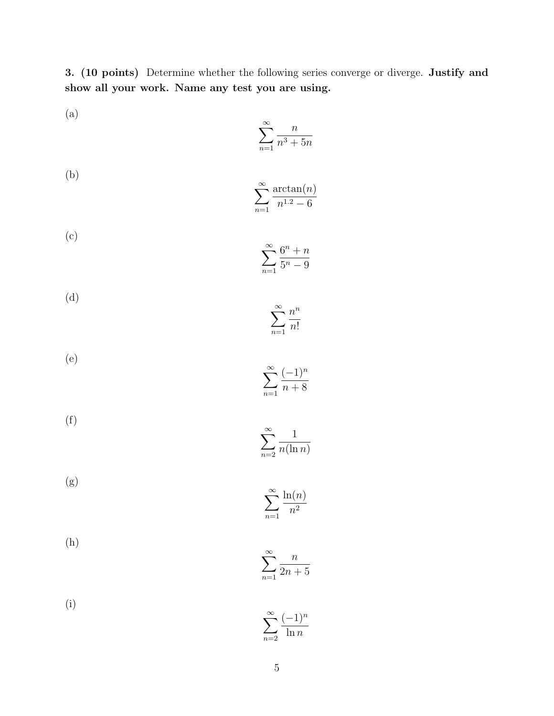3. (10 points) Determine whether the following series converge or diverge. Justify and show all your work. Name any test you are using.

 $\sum_{n=1}^{\infty} n!$ 

*n*=2

$$
\sum_{n=1}^{\infty} \frac{n}{n^3 + 5n}
$$

(a)

(b) 
$$
\sum_{n=1}^{\infty} \frac{\arctan(n)}{n^{1.2} - 6}
$$

(c) 
$$
\sum_{n=1}^{\infty} \frac{6^n + n}{5^n - 9}
$$

(d) 
$$
\sum^{\infty} \frac{n^n}{n}
$$

(e) 
$$
\sum^{\infty} \frac{(-1)^n}{n}
$$

$$
\sum_{n=1}^{n} \overline{n+8}
$$

(f) 
$$
\sum_{n=2}^{\infty} \frac{1}{n(\ln n)}
$$

(g) 
$$
\sum_{n=1}^{\infty} \frac{\ln(n)}{n^2}
$$

(h) 
$$
\sum_{n=1}^{\infty} \frac{n}{2n+5}
$$

(i) 
$$
\sum^{\infty} \frac{(-1)^n}{n}
$$

$$
\sum_{n=2} \overline{\ln n}
$$

*n*=1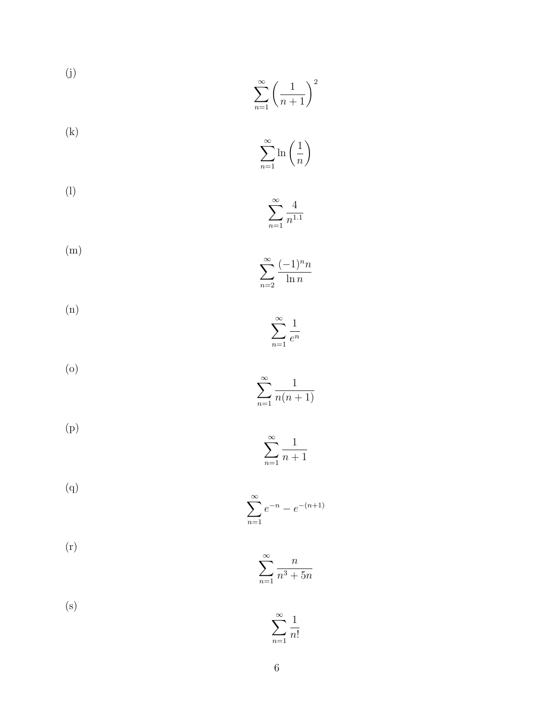(j)  
\n
$$
\sum_{n=1}^{\infty} \left(\frac{1}{n+1}\right)^2
$$
\n(k)  
\n
$$
\sum_{n=1}^{\infty} \ln\left(\frac{1}{n}\right)
$$

$$
\sum_{n=1}^{\infty} \frac{4}{n^{1.1}}
$$

(m)
$$
\sum_{n=2}^{\infty} \frac{(-1)^n n}{\ln n}
$$

(n) 
$$
\sum_{n=1}^{\infty} \frac{1}{e^n}
$$

$$
\sum_{n=1}^{\infty} \frac{1}{n(n+1)}
$$

(p) 
$$
\sum_{n=1}^{\infty} \frac{1}{n+1}
$$

(q) 
$$
\sum_{n=1}^{\infty} e^{-n} - e^{-(n+1)}
$$

$$
\sum_{n=1}^{\infty} \frac{n}{n^3 + 5n}
$$

$$
\left( s\right)
$$

$$
\sum_{n=1}^{\infty} \frac{1}{n!}
$$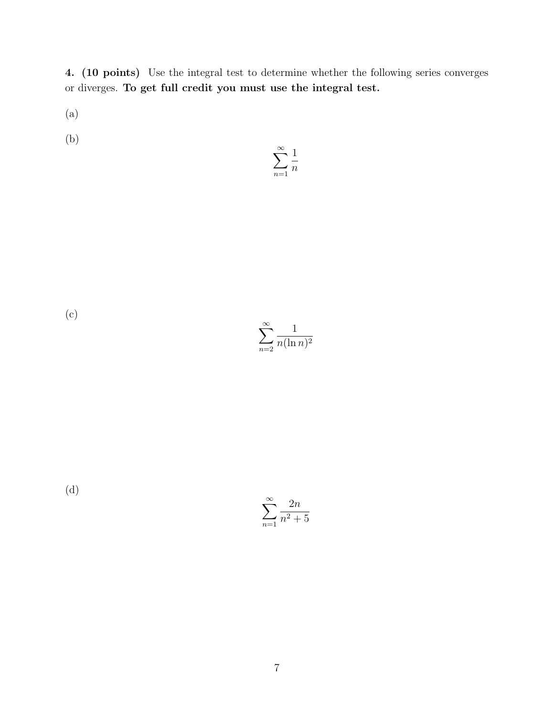4. (10 points) Use the integral test to determine whether the following series converges or diverges. To get full credit you must use the integral test.

(a)

(b)

$$
\sum_{n=1}^{\infty} \frac{1}{n}
$$

(c)

 $\sum_{\infty}$ *n*=2 1 *n*(ln *n*)<sup>2</sup>

(d)

 $\sum_{\infty}$ *n*=1 2*n*  $n^2 + 5$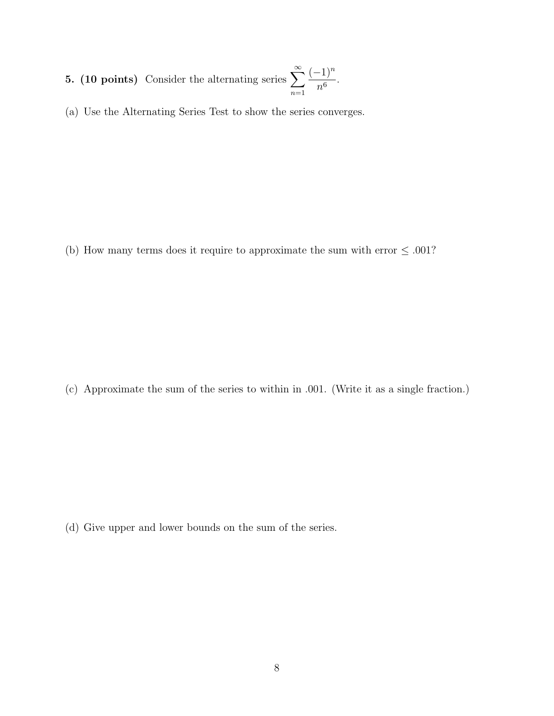- 5. (10 points) Consider the alternating series  $\sum_{n=1}^{\infty}$ *n*=1  $(-1)^n$  $rac{1}{n^6}$ .
- (a) Use the Alternating Series Test to show the series converges.

(b) How many terms does it require to approximate the sum with error  $\leq .001$ ?

(c) Approximate the sum of the series to within in *.*001. (Write it as a single fraction.)

(d) Give upper and lower bounds on the sum of the series.